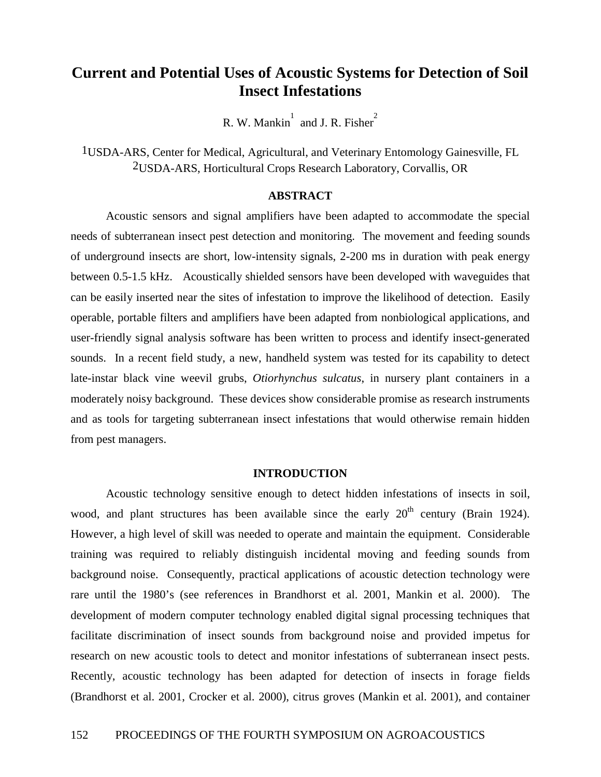# **Current and Potential Uses of Acoustic Systems for Detection of Soil Insect Infestations**

R. W. Mankin $\int$  and J. R. Fisher

1USDA-ARS, Center for Medical, Agricultural, and Veterinary Entomology Gainesville, FL 2USDA-ARS, Horticultural Crops Research Laboratory, Corvallis, OR

# **ABSTRACT**

 Acoustic sensors and signal amplifiers have been adapted to accommodate the special needs of subterranean insect pest detection and monitoring. The movement and feeding sounds of underground insects are short, low-intensity signals, 2-200 ms in duration with peak energy between 0.5-1.5 kHz. Acoustically shielded sensors have been developed with waveguides that can be easily inserted near the sites of infestation to improve the likelihood of detection. Easily operable, portable filters and amplifiers have been adapted from nonbiological applications, and user-friendly signal analysis software has been written to process and identify insect-generated sounds. In a recent field study, a new, handheld system was tested for its capability to detect late-instar black vine weevil grubs, *Otiorhynchus sulcatus*, in nursery plant containers in a moderately noisy background. These devices show considerable promise as research instruments and as tools for targeting subterranean insect infestations that would otherwise remain hidden from pest managers.

### **INTRODUCTION**

 Acoustic technology sensitive enough to detect hidden infestations of insects in soil, wood, and plant structures has been available since the early  $20<sup>th</sup>$  century (Brain 1924). However, a high level of skill was needed to operate and maintain the equipment. Considerable training was required to reliably distinguish incidental moving and feeding sounds from background noise. Consequently, practical applications of acoustic detection technology were rare until the 1980's (see references in Brandhorst et al. 2001, Mankin et al. 2000). The development of modern computer technology enabled digital signal processing techniques that facilitate discrimination of insect sounds from background noise and provided impetus for research on new acoustic tools to detect and monitor infestations of subterranean insect pests. Recently, acoustic technology has been adapted for detection of insects in forage fields (Brandhorst et al. 2001, Crocker et al. 2000), citrus groves (Mankin et al. 2001), and container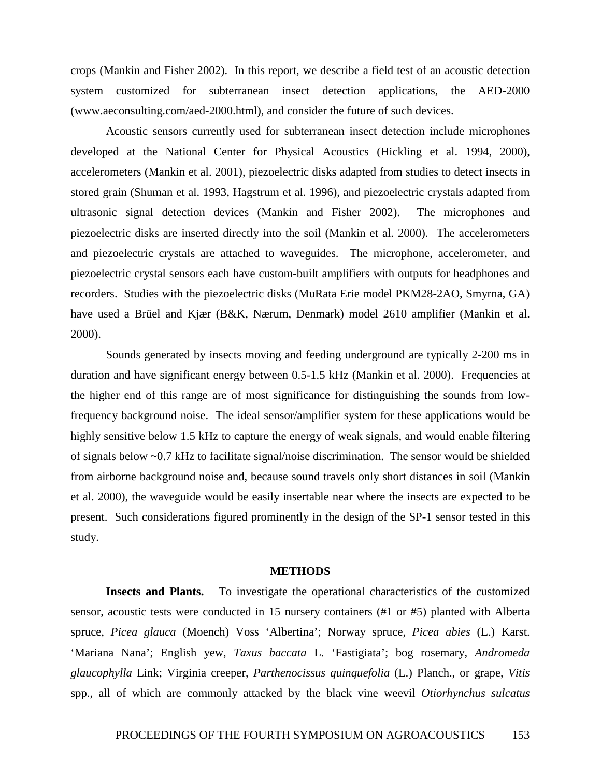crops (Mankin and Fisher 2002). In this report, we describe a field test of an acoustic detection system customized for subterranean insect detection applications, the AED-2000 (www.aeconsulting.com/aed-2000.html), and consider the future of such devices.

Acoustic sensors currently used for subterranean insect detection include microphones developed at the National Center for Physical Acoustics (Hickling et al. 1994, 2000), accelerometers (Mankin et al. 2001), piezoelectric disks adapted from studies to detect insects in stored grain (Shuman et al. 1993, Hagstrum et al. 1996), and piezoelectric crystals adapted from ultrasonic signal detection devices (Mankin and Fisher 2002). The microphones and piezoelectric disks are inserted directly into the soil (Mankin et al. 2000). The accelerometers and piezoelectric crystals are attached to waveguides. The microphone, accelerometer, and piezoelectric crystal sensors each have custom-built amplifiers with outputs for headphones and recorders. Studies with the piezoelectric disks (MuRata Erie model PKM28-2AO, Smyrna, GA) have used a Brüel and Kjær (B&K, Nærum, Denmark) model 2610 amplifier (Mankin et al. 2000).

Sounds generated by insects moving and feeding underground are typically 2-200 ms in duration and have significant energy between 0.5-1.5 kHz (Mankin et al. 2000). Frequencies at the higher end of this range are of most significance for distinguishing the sounds from lowfrequency background noise. The ideal sensor/amplifier system for these applications would be highly sensitive below 1.5 kHz to capture the energy of weak signals, and would enable filtering of signals below ~0.7 kHz to facilitate signal/noise discrimination. The sensor would be shielded from airborne background noise and, because sound travels only short distances in soil (Mankin et al. 2000), the waveguide would be easily insertable near where the insects are expected to be present. Such considerations figured prominently in the design of the SP-1 sensor tested in this study.

### **METHODS**

 **Insects and Plants.**To investigate the operational characteristics of the customized sensor, acoustic tests were conducted in 15 nursery containers (#1 or #5) planted with Alberta spruce, *Picea glauca* (Moench) Voss 'Albertina'; Norway spruce, *Picea abies* (L.) Karst. 'Mariana Nana'; English yew, *Taxus baccata* L. 'Fastigiata'; bog rosemary, *Andromeda glaucophylla* Link; Virginia creeper, *Parthenocissus quinquefolia* (L.) Planch., or grape, *Vitis* spp., all of which are commonly attacked by the black vine weevil *Otiorhynchus sulcatus*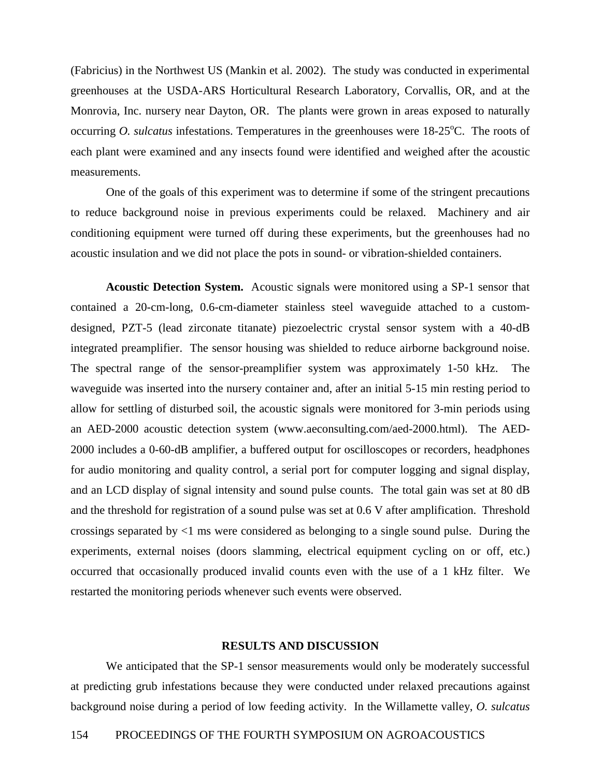(Fabricius) in the Northwest US (Mankin et al. 2002). The study was conducted in experimental greenhouses at the USDA-ARS Horticultural Research Laboratory, Corvallis, OR, and at the Monrovia, Inc. nursery near Dayton, OR. The plants were grown in areas exposed to naturally occurring *O. sulcatus* infestations. Temperatures in the greenhouses were 18-25 °C. The roots of each plant were examined and any insects found were identified and weighed after the acoustic measurements.

 One of the goals of this experiment was to determine if some of the stringent precautions to reduce background noise in previous experiments could be relaxed. Machinery and air conditioning equipment were turned off during these experiments, but the greenhouses had no acoustic insulation and we did not place the pots in sound- or vibration-shielded containers.

**Acoustic Detection System.** Acoustic signals were monitored using a SP-1 sensor that contained a 20-cm-long, 0.6-cm-diameter stainless steel waveguide attached to a customdesigned, PZT-5 (lead zirconate titanate) piezoelectric crystal sensor system with a 40-dB integrated preamplifier. The sensor housing was shielded to reduce airborne background noise. The spectral range of the sensor-preamplifier system was approximately 1-50 kHz. The waveguide was inserted into the nursery container and, after an initial 5-15 min resting period to allow for settling of disturbed soil, the acoustic signals were monitored for 3-min periods using an AED-2000 acoustic detection system (www.aeconsulting.com/aed-2000.html). The AED-2000 includes a 0-60-dB amplifier, a buffered output for oscilloscopes or recorders, headphones for audio monitoring and quality control, a serial port for computer logging and signal display, and an LCD display of signal intensity and sound pulse counts. The total gain was set at 80 dB and the threshold for registration of a sound pulse was set at 0.6 V after amplification. Threshold crossings separated by <1 ms were considered as belonging to a single sound pulse. During the experiments, external noises (doors slamming, electrical equipment cycling on or off, etc.) occurred that occasionally produced invalid counts even with the use of a 1 kHz filter. We restarted the monitoring periods whenever such events were observed.

#### **RESULTS AND DISCUSSION**

 We anticipated that the SP-1 sensor measurements would only be moderately successful at predicting grub infestations because they were conducted under relaxed precautions against background noise during a period of low feeding activity. In the Willamette valley, *O. sulcatus*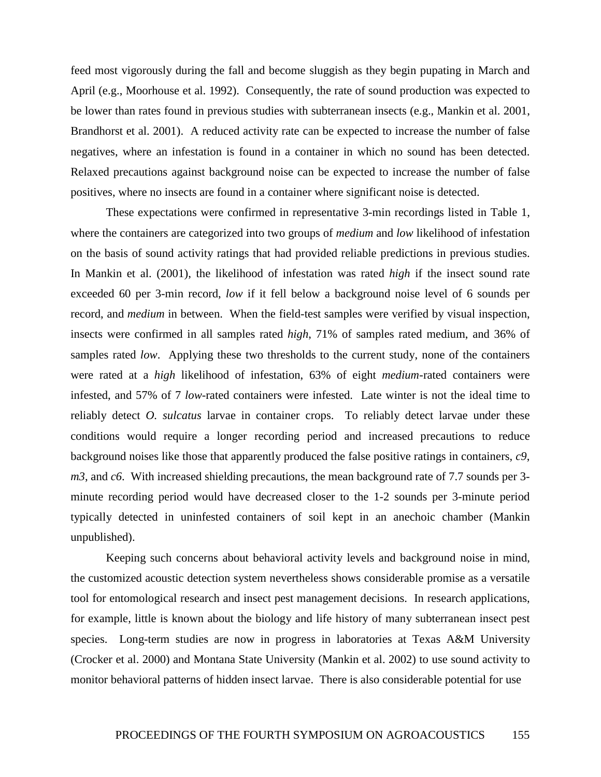feed most vigorously during the fall and become sluggish as they begin pupating in March and April (e.g., Moorhouse et al. 1992). Consequently, the rate of sound production was expected to be lower than rates found in previous studies with subterranean insects (e.g., Mankin et al. 2001, Brandhorst et al. 2001). A reduced activity rate can be expected to increase the number of false negatives, where an infestation is found in a container in which no sound has been detected. Relaxed precautions against background noise can be expected to increase the number of false positives, where no insects are found in a container where significant noise is detected.

 These expectations were confirmed in representative 3-min recordings listed in Table 1, where the containers are categorized into two groups of *medium* and *low* likelihood of infestation on the basis of sound activity ratings that had provided reliable predictions in previous studies. In Mankin et al. (2001), the likelihood of infestation was rated *high* if the insect sound rate exceeded 60 per 3-min record, *low* if it fell below a background noise level of 6 sounds per record, and *medium* in between. When the field-test samples were verified by visual inspection, insects were confirmed in all samples rated *high*, 71% of samples rated medium, and 36% of samples rated *low*. Applying these two thresholds to the current study, none of the containers were rated at a *high* likelihood of infestation, 63% of eight *medium*-rated containers were infested, and 57% of 7 *low*-rated containers were infested. Late winter is not the ideal time to reliably detect *O. sulcatus* larvae in container crops. To reliably detect larvae under these conditions would require a longer recording period and increased precautions to reduce background noises like those that apparently produced the false positive ratings in containers, *c9*, *m3*, and *c6*. With increased shielding precautions, the mean background rate of 7.7 sounds per 3minute recording period would have decreased closer to the 1-2 sounds per 3-minute period typically detected in uninfested containers of soil kept in an anechoic chamber (Mankin unpublished).

 Keeping such concerns about behavioral activity levels and background noise in mind, the customized acoustic detection system nevertheless shows considerable promise as a versatile tool for entomological research and insect pest management decisions. In research applications, for example, little is known about the biology and life history of many subterranean insect pest species. Long-term studies are now in progress in laboratories at Texas A&M University (Crocker et al. 2000) and Montana State University (Mankin et al. 2002) to use sound activity to monitor behavioral patterns of hidden insect larvae. There is also considerable potential for use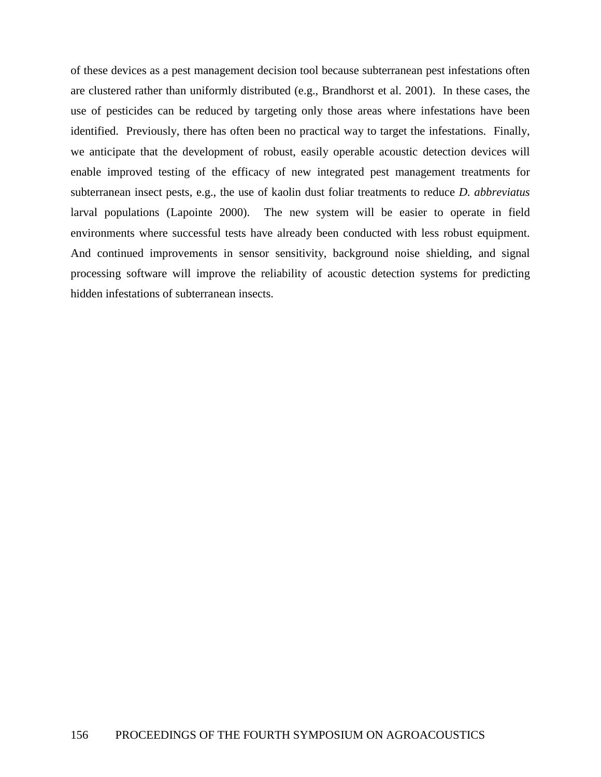of these devices as a pest management decision tool because subterranean pest infestations often are clustered rather than uniformly distributed (e.g., Brandhorst et al. 2001). In these cases, the use of pesticides can be reduced by targeting only those areas where infestations have been identified. Previously, there has often been no practical way to target the infestations. Finally, we anticipate that the development of robust, easily operable acoustic detection devices will enable improved testing of the efficacy of new integrated pest management treatments for subterranean insect pests, e.g., the use of kaolin dust foliar treatments to reduce *D. abbreviatus* larval populations (Lapointe 2000). The new system will be easier to operate in field environments where successful tests have already been conducted with less robust equipment. And continued improvements in sensor sensitivity, background noise shielding, and signal processing software will improve the reliability of acoustic detection systems for predicting hidden infestations of subterranean insects.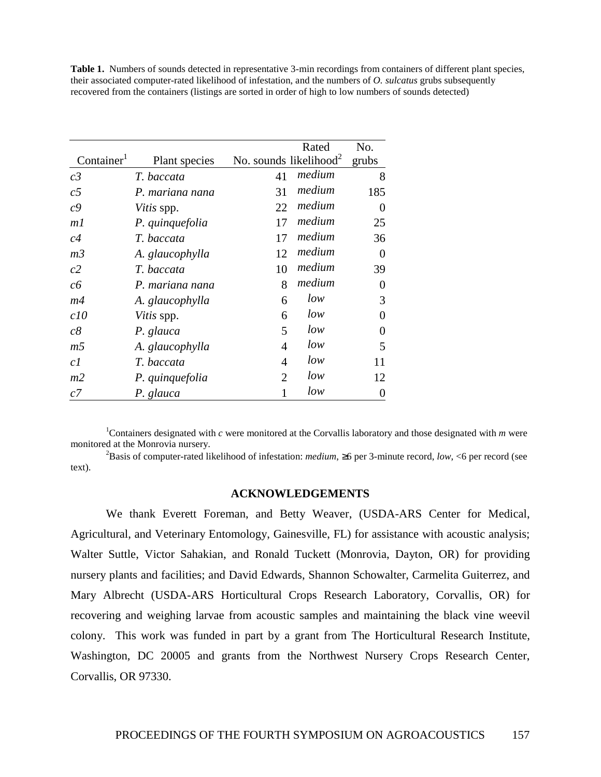**Table 1.** Numbers of sounds detected in representative 3-min recordings from containers of different plant species, their associated computer-rated likelihood of infestation, and the numbers of *O. sulcatus* grubs subsequently recovered from the containers (listings are sorted in order of high to low numbers of sounds detected)

|                        |                   |                                    | Rated  | No.            |
|------------------------|-------------------|------------------------------------|--------|----------------|
| Container <sup>1</sup> | Plant species     | No. sounds likelihood <sup>2</sup> |        | grubs          |
| c <sub>3</sub>         | T. baccata        | 41                                 | medium | 8              |
| c <sub>5</sub>         | P. mariana nana   | 31                                 | medium | 185            |
| c <sub>9</sub>         | <i>Vitis</i> spp. | 22                                 | medium | 0              |
| m1                     | P. quinquefolia   | 17                                 | medium | 25             |
| c4                     | T. baccata        | 17                                 | medium | 36             |
| m <sub>3</sub>         | A. glaucophylla   | 12                                 | medium | 0              |
| c2                     | T. baccata        | 10                                 | medium | 39             |
| cб                     | P. mariana nana   | 8                                  | medium | $\overline{0}$ |
| m4                     | A. glaucophylla   | 6                                  | low    | 3              |
| c10                    | Vitis spp.        | 6                                  | low    | 0              |
| c8                     | P. glauca         | 5                                  | low    | 0              |
| m <sub>5</sub>         | A. glaucophylla   | 4                                  | low    | 5              |
| c1                     | T. baccata        | 4                                  | low    | 11             |
| m <sub>2</sub>         | P. quinquefolia   | 2                                  | low    | 12             |
| c7                     | P. glauca         |                                    | low    | 0              |

1 Containers designated with *c* were monitored at the Corvallis laboratory and those designated with *m* were monitored at the Monrovia nursery. 2

Basis of computer-rated likelihood of infestation: *medium*, ≥6 per 3-minute record, *low*, <6 per record (see text).

# **ACKNOWLEDGEMENTS**

We thank Everett Foreman, and Betty Weaver, (USDA-ARS Center for Medical, Agricultural, and Veterinary Entomology, Gainesville, FL) for assistance with acoustic analysis; Walter Suttle, Victor Sahakian, and Ronald Tuckett (Monrovia, Dayton, OR) for providing nursery plants and facilities; and David Edwards, Shannon Schowalter, Carmelita Guiterrez, and Mary Albrecht (USDA-ARS Horticultural Crops Research Laboratory, Corvallis, OR) for recovering and weighing larvae from acoustic samples and maintaining the black vine weevil colony. This work was funded in part by a grant from The Horticultural Research Institute, Washington, DC 20005 and grants from the Northwest Nursery Crops Research Center, Corvallis, OR 97330.